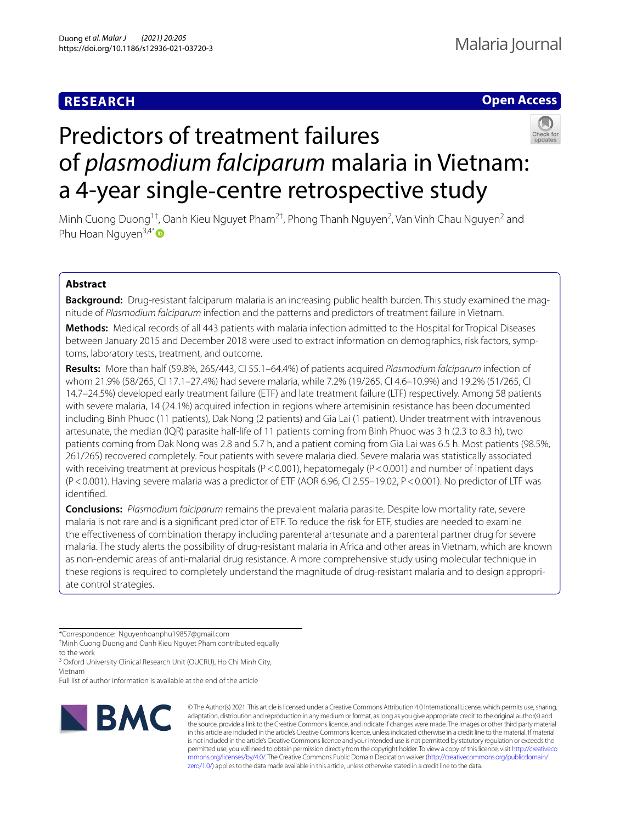# **RESEARCH**

# **Open Access**



# Predictors of treatment failures of *plasmodium falciparum* malaria in Vietnam: a 4-year single‐centre retrospective study

Minh Cuong Duong<sup>1†</sup>, Oanh Kieu Nguyet Pham<sup>2†</sup>, Phong Thanh Nguyen<sup>2</sup>, Van Vinh Chau Nguyen<sup>2</sup> and Phu Hoan Nguyen $3,4^*$  $3,4^*$ 

## **Abstract**

**Background:** Drug-resistant falciparum malaria is an increasing public health burden. This study examined the magnitude of *Plasmodium falciparum* infection and the patterns and predictors of treatment failure in Vietnam.

**Methods:** Medical records of all 443 patients with malaria infection admitted to the Hospital for Tropical Diseases between January 2015 and December 2018 were used to extract information on demographics, risk factors, symptoms, laboratory tests, treatment, and outcome.

**Results:** More than half (59.8%, 265/443, CI 55.1–64.4%) of patients acquired *Plasmodium falciparum* infection of whom 21.9% (58/265, CI 17.1–27.4%) had severe malaria, while 7.2% (19/265, CI 4.6–10.9%) and 19.2% (51/265, CI 14.7–24.5%) developed early treatment failure (ETF) and late treatment failure (LTF) respectively. Among 58 patients with severe malaria, 14 (24.1%) acquired infection in regions where artemisinin resistance has been documented including Binh Phuoc (11 patients), Dak Nong (2 patients) and Gia Lai (1 patient). Under treatment with intravenous artesunate, the median (IQR) parasite half-life of 11 patients coming from Binh Phuoc was 3 h (2.3 to 8.3 h), two patients coming from Dak Nong was 2.8 and 5.7 h, and a patient coming from Gia Lai was 6.5 h. Most patients (98.5%, 261/265) recovered completely. Four patients with severe malaria died. Severe malaria was statistically associated with receiving treatment at previous hospitals (P<0.001), hepatomegaly (P<0.001) and number of inpatient days (P<0.001). Having severe malaria was a predictor of ETF (AOR 6.96, CI 2.55–19.02, P<0.001). No predictor of LTF was identifed.

**Conclusions:** *Plasmodium falciparum* remains the prevalent malaria parasite. Despite low mortality rate, severe malaria is not rare and is a signifcant predictor of ETF. To reduce the risk for ETF, studies are needed to examine the efectiveness of combination therapy including parenteral artesunate and a parenteral partner drug for severe malaria. The study alerts the possibility of drug-resistant malaria in Africa and other areas in Vietnam, which are known as non-endemic areas of anti-malarial drug resistance. A more comprehensive study using molecular technique in these regions is required to completely understand the magnitude of drug-resistant malaria and to design appropriate control strategies.

Full list of author information is available at the end of the article



© The Author(s) 2021. This article is licensed under a Creative Commons Attribution 4.0 International License, which permits use, sharing, adaptation, distribution and reproduction in any medium or format, as long as you give appropriate credit to the original author(s) and the source, provide a link to the Creative Commons licence, and indicate if changes were made. The images or other third party material in this article are included in the article's Creative Commons licence, unless indicated otherwise in a credit line to the material. If material is not included in the article's Creative Commons licence and your intended use is not permitted by statutory regulation or exceeds the permitted use, you will need to obtain permission directly from the copyright holder. To view a copy of this licence, visit [http://creativeco](http://creativecommons.org/licenses/by/4.0/) [mmons.org/licenses/by/4.0/.](http://creativecommons.org/licenses/by/4.0/) The Creative Commons Public Domain Dedication waiver ([http://creativecommons.org/publicdomain/](http://creativecommons.org/publicdomain/zero/1.0/) [zero/1.0/\)](http://creativecommons.org/publicdomain/zero/1.0/) applies to the data made available in this article, unless otherwise stated in a credit line to the data.

<sup>\*</sup>Correspondence: Nguyenhoanphu19857@gmail.com

<sup>†</sup> Minh Cuong Duong and Oanh Kieu Nguyet Pham contributed equally to the work

<sup>&</sup>lt;sup>3</sup> Oxford University Clinical Research Unit (OUCRU), Ho Chi Minh City, Vietnam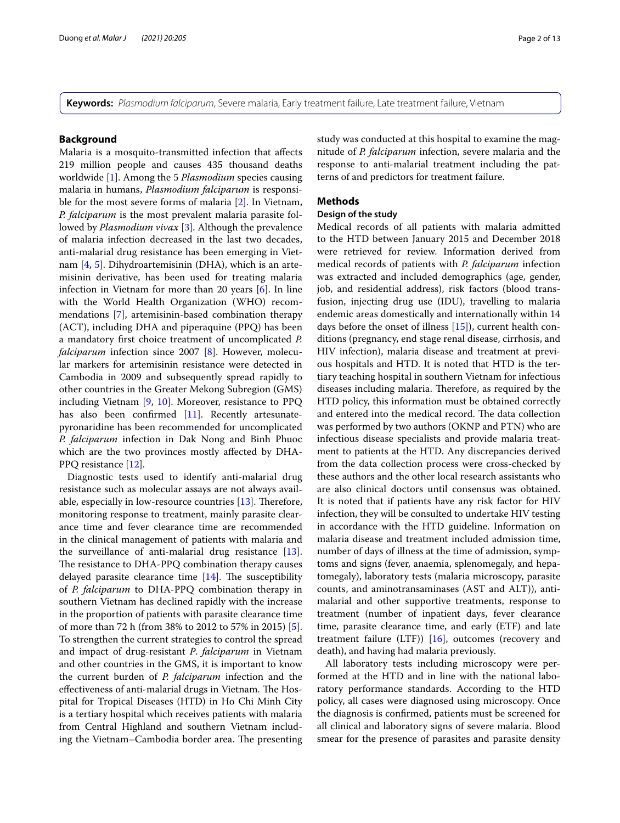**Keywords:** *Plasmodium falciparum*, Severe malaria, Early treatment failure, Late treatment failure, Vietnam

## **Background**

Malaria is a mosquito-transmitted infection that afects 219 million people and causes 435 thousand deaths worldwide [\[1](#page-11-0)]. Among the 5 *Plasmodium* species causing malaria in humans, *Plasmodium falciparum* is responsible for the most severe forms of malaria [[2\]](#page-11-1). In Vietnam, *P. falciparum* is the most prevalent malaria parasite followed by *Plasmodium vivax* [\[3](#page-11-2)]. Although the prevalence of malaria infection decreased in the last two decades, anti-malarial drug resistance has been emerging in Vietnam [[4,](#page-11-3) [5\]](#page-11-4). Dihydroartemisinin (DHA), which is an artemisinin derivative, has been used for treating malaria infection in Vietnam for more than 20 years [[6](#page-11-5)]. In line with the World Health Organization (WHO) recommendations [[7\]](#page-11-6), artemisinin-based combination therapy (ACT), including DHA and piperaquine (PPQ) has been a mandatory frst choice treatment of uncomplicated *P. falciparum* infection since 2007 [\[8](#page-11-7)]. However, molecular markers for artemisinin resistance were detected in Cambodia in 2009 and subsequently spread rapidly to other countries in the Greater Mekong Subregion (GMS) including Vietnam  $[9, 10]$  $[9, 10]$  $[9, 10]$ . Moreover, resistance to PPQ has also been confirmed [[11\]](#page-11-10). Recently artesunatepyronaridine has been recommended for uncomplicated *P. falciparum* infection in Dak Nong and Binh Phuoc which are the two provinces mostly afected by DHA-PPQ resistance [\[12\]](#page-11-11).

Diagnostic tests used to identify anti-malarial drug resistance such as molecular assays are not always available, especially in low-resource countries  $[13]$  $[13]$ . Therefore, monitoring response to treatment, mainly parasite clearance time and fever clearance time are recommended in the clinical management of patients with malaria and the surveillance of anti-malarial drug resistance [\[13](#page-11-12)]. The resistance to DHA-PPQ combination therapy causes delayed parasite clearance time  $[14]$  $[14]$ . The susceptibility of *P. falciparum* to DHA-PPQ combination therapy in southern Vietnam has declined rapidly with the increase in the proportion of patients with parasite clearance time of more than 72 h (from 38% to 2012 to 57% in 2015) [\[5](#page-11-4)]. To strengthen the current strategies to control the spread and impact of drug*-*resistant *P*. *falciparum* in Vietnam and other countries in the GMS, it is important to know the current burden of *P. falciparum* infection and the effectiveness of anti-malarial drugs in Vietnam. The Hospital for Tropical Diseases (HTD) in Ho Chi Minh City is a tertiary hospital which receives patients with malaria from Central Highland and southern Vietnam including the Vietnam–Cambodia border area. The presenting study was conducted at this hospital to examine the magnitude of *P. falciparum* infection, severe malaria and the response to anti-malarial treatment including the patterns of and predictors for treatment failure.

## **Methods**

## **Design of the study**

Medical records of all patients with malaria admitted to the HTD between January 2015 and December 2018 were retrieved for review. Information derived from medical records of patients with *P. falciparum* infection was extracted and included demographics (age, gender, job, and residential address), risk factors (blood transfusion, injecting drug use (IDU), travelling to malaria endemic areas domestically and internationally within 14 days before the onset of illness [\[15](#page-11-14)]), current health conditions (pregnancy, end stage renal disease, cirrhosis, and HIV infection), malaria disease and treatment at previous hospitals and HTD. It is noted that HTD is the tertiary teaching hospital in southern Vietnam for infectious diseases including malaria. Therefore, as required by the HTD policy, this information must be obtained correctly and entered into the medical record. The data collection was performed by two authors (OKNP and PTN) who are infectious disease specialists and provide malaria treatment to patients at the HTD. Any discrepancies derived from the data collection process were cross-checked by these authors and the other local research assistants who are also clinical doctors until consensus was obtained. It is noted that if patients have any risk factor for HIV infection, they will be consulted to undertake HIV testing in accordance with the HTD guideline. Information on malaria disease and treatment included admission time, number of days of illness at the time of admission, symptoms and signs (fever, anaemia, splenomegaly, and hepatomegaly), laboratory tests (malaria microscopy, parasite counts, and aminotransaminases (AST and ALT)), antimalarial and other supportive treatments, response to treatment (number of inpatient days, fever clearance time, parasite clearance time, and early (ETF) and late treatment failure (LTF))  $[16]$  $[16]$ , outcomes (recovery and death), and having had malaria previously.

All laboratory tests including microscopy were performed at the HTD and in line with the national laboratory performance standards. According to the HTD policy, all cases were diagnosed using microscopy. Once the diagnosis is confrmed, patients must be screened for all clinical and laboratory signs of severe malaria. Blood smear for the presence of parasites and parasite density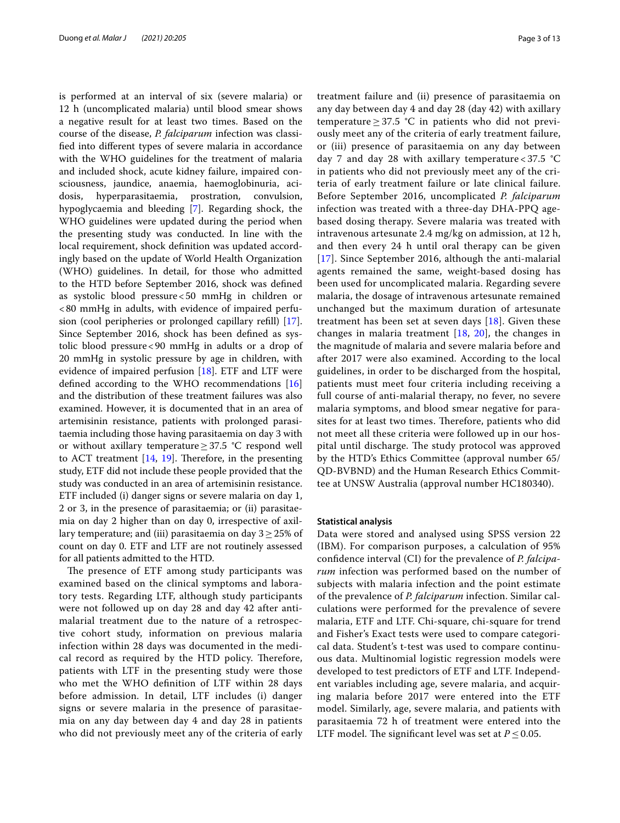is performed at an interval of six (severe malaria) or 12 h (uncomplicated malaria) until blood smear shows a negative result for at least two times. Based on the course of the disease, *P. falciparum* infection was classifed into diferent types of severe malaria in accordance with the WHO guidelines for the treatment of malaria and included shock, acute kidney failure, impaired consciousness, jaundice, anaemia, haemoglobinuria, acidosis, hyperparasitaemia, prostration, convulsion, hypoglycaemia and bleeding [\[7](#page-11-6)]. Regarding shock, the WHO guidelines were updated during the period when the presenting study was conducted. In line with the local requirement, shock defnition was updated accordingly based on the update of World Health Organization (WHO) guidelines. In detail, for those who admitted to the HTD before September 2016, shock was defned as systolic blood pressure<50 mmHg in children or <80 mmHg in adults, with evidence of impaired perfusion (cool peripheries or prolonged capillary refll) [\[17](#page-11-16)]. Since September 2016, shock has been defned as systolic blood pressure<90 mmHg in adults or a drop of 20 mmHg in systolic pressure by age in children, with evidence of impaired perfusion [\[18](#page-11-17)]. ETF and LTF were defned according to the WHO recommendations [[16](#page-11-15)] and the distribution of these treatment failures was also examined. However, it is documented that in an area of artemisinin resistance, patients with prolonged parasitaemia including those having parasitaemia on day 3 with or without axillary temperature≥37.5 °C respond well to ACT treatment  $[14, 19]$  $[14, 19]$  $[14, 19]$ . Therefore, in the presenting study, ETF did not include these people provided that the study was conducted in an area of artemisinin resistance. ETF included (i) danger signs or severe malaria on day 1, 2 or 3, in the presence of parasitaemia; or (ii) parasitaemia on day 2 higher than on day 0, irrespective of axillary temperature; and (iii) parasitaemia on day  $3 \geq 25\%$  of count on day 0. ETF and LTF are not routinely assessed for all patients admitted to the HTD.

The presence of ETF among study participants was examined based on the clinical symptoms and laboratory tests. Regarding LTF, although study participants were not followed up on day 28 and day 42 after antimalarial treatment due to the nature of a retrospective cohort study, information on previous malaria infection within 28 days was documented in the medical record as required by the HTD policy. Therefore, patients with LTF in the presenting study were those who met the WHO defnition of LTF within 28 days before admission. In detail, LTF includes (i) danger signs or severe malaria in the presence of parasitaemia on any day between day 4 and day 28 in patients who did not previously meet any of the criteria of early treatment failure and (ii) presence of parasitaemia on any day between day 4 and day 28 (day 42) with axillary temperature  $\geq 37.5$  °C in patients who did not previously meet any of the criteria of early treatment failure, or (iii) presence of parasitaemia on any day between day 7 and day 28 with axillary temperature < 37.5 °C in patients who did not previously meet any of the criteria of early treatment failure or late clinical failure. Before September 2016, uncomplicated *P. falciparum* infection was treated with a three-day DHA-PPQ agebased dosing therapy. Severe malaria was treated with intravenous artesunate 2.4 mg/kg on admission, at 12 h, and then every 24 h until oral therapy can be given [[17](#page-11-16)]. Since September 2016, although the anti-malarial agents remained the same, weight-based dosing has been used for uncomplicated malaria. Regarding severe malaria, the dosage of intravenous artesunate remained unchanged but the maximum duration of artesunate treatment has been set at seven days [\[18](#page-11-17)]. Given these changes in malaria treatment  $[18, 20]$  $[18, 20]$  $[18, 20]$ , the changes in the magnitude of malaria and severe malaria before and after 2017 were also examined. According to the local guidelines, in order to be discharged from the hospital, patients must meet four criteria including receiving a full course of anti-malarial therapy, no fever, no severe malaria symptoms, and blood smear negative for parasites for at least two times. Therefore, patients who did not meet all these criteria were followed up in our hospital until discharge. The study protocol was approved by the HTD's Ethics Committee (approval number 65/ QD-BVBND) and the Human Research Ethics Committee at UNSW Australia (approval number HC180340).

## **Statistical analysis**

Data were stored and analysed using SPSS version 22 (IBM). For comparison purposes, a calculation of 95% confdence interval (CI) for the prevalence of *P. falciparum* infection was performed based on the number of subjects with malaria infection and the point estimate of the prevalence of *P. falciparum* infection. Similar calculations were performed for the prevalence of severe malaria, ETF and LTF. Chi-square, chi-square for trend and Fisher's Exact tests were used to compare categorical data. Student's t-test was used to compare continuous data. Multinomial logistic regression models were developed to test predictors of ETF and LTF. Independent variables including age, severe malaria, and acquiring malaria before 2017 were entered into the ETF model. Similarly, age, severe malaria, and patients with parasitaemia 72 h of treatment were entered into the LTF model. The significant level was set at  $P \leq 0.05$ .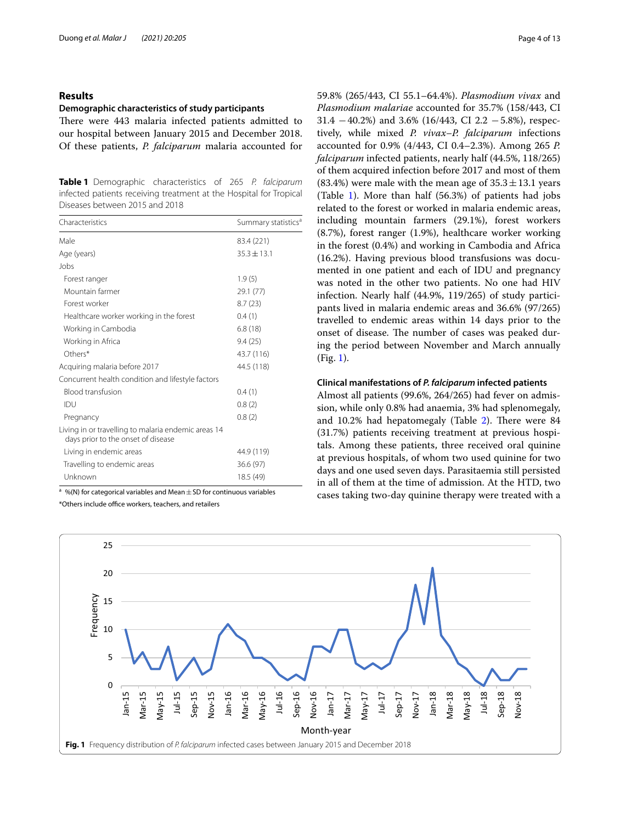## **Results**

## **Demographic characteristics of study participants**

There were 443 malaria infected patients admitted to our hospital between January 2015 and December 2018. Of these patients, *P. falciparum* malaria accounted for

<span id="page-3-0"></span>**Table 1** Demographic characteristics of 265 *P. falciparum* infected patients receiving treatment at the Hospital for Tropical Diseases between 2015 and 2018

| Characteristics                                                                           | Summary statistics <sup>a</sup> |
|-------------------------------------------------------------------------------------------|---------------------------------|
| Male                                                                                      | 83.4 (221)                      |
| Age (years)                                                                               | $35.3 \pm 13.1$                 |
| Jobs                                                                                      |                                 |
| Forest ranger                                                                             | 1.9(5)                          |
| Mountain farmer                                                                           | 29.1 (77)                       |
| Forest worker                                                                             | 8.7(23)                         |
| Healthcare worker working in the forest                                                   | 0.4(1)                          |
| Working in Cambodia                                                                       | 6.8(18)                         |
| Working in Africa                                                                         | 9.4(25)                         |
| Others*                                                                                   | 43.7 (116)                      |
| Acquiring malaria before 2017                                                             | 44.5 (118)                      |
| Concurrent health condition and lifestyle factors                                         |                                 |
| <b>Blood transfusion</b>                                                                  | 0.4(1)                          |
| IDU                                                                                       | 0.8(2)                          |
| Pregnancy                                                                                 | 0.8(2)                          |
| Living in or travelling to malaria endemic areas 14<br>days prior to the onset of disease |                                 |
| Living in endemic areas                                                                   | 44.9 (119)                      |
| Travelling to endemic areas                                                               | 36.6 (97)                       |
| Unknown                                                                                   | 18.5 (49)                       |
|                                                                                           |                                 |

<sup>a</sup> %(N) for categorical variables and Mean  $\pm$  SD for continuous variables

\*Others include office workers, teachers, and retailers

59.8% (265/443, CI 55.1–64.4%). *Plasmodium vivax* and *Plasmodium malariae* accounted for 35.7% (158/443, CI  $31.4 - 40.2\%$ ) and  $3.6\%$  (16/443, CI 2.2  $-5.8\%$ ), respectively, while mixed *P. vivax–P. falciparum* infections accounted for 0.9% (4/443, CI 0.4–2.3%). Among 265 *P. falciparum* infected patients, nearly half (44.5%, 118/265) of them acquired infection before 2017 and most of them  $(83.4\%)$  were male with the mean age of  $35.3 \pm 13.1$  years (Table [1\)](#page-3-0). More than half (56.3%) of patients had jobs related to the forest or worked in malaria endemic areas, including mountain farmers (29.1%), forest workers (8.7%), forest ranger (1.9%), healthcare worker working in the forest (0.4%) and working in Cambodia and Africa (16.2%). Having previous blood transfusions was documented in one patient and each of IDU and pregnancy was noted in the other two patients. No one had HIV infection. Nearly half (44.9%, 119/265) of study participants lived in malaria endemic areas and 36.6% (97/265) travelled to endemic areas within 14 days prior to the onset of disease. The number of cases was peaked during the period between November and March annually (Fig. [1\)](#page-3-1).

## **Clinical manifestations of** *P. falciparum* **infected patients**

Almost all patients (99.6%, 264/265) had fever on admission, while only 0.8% had anaemia, 3% had splenomegaly, and  $10.2\%$  had hepatomegaly (Table [2\)](#page-4-0). There were 84 (31.7%) patients receiving treatment at previous hospitals. Among these patients, three received oral quinine at previous hospitals, of whom two used quinine for two days and one used seven days. Parasitaemia still persisted in all of them at the time of admission. At the HTD, two cases taking two-day quinine therapy were treated with a

<span id="page-3-1"></span>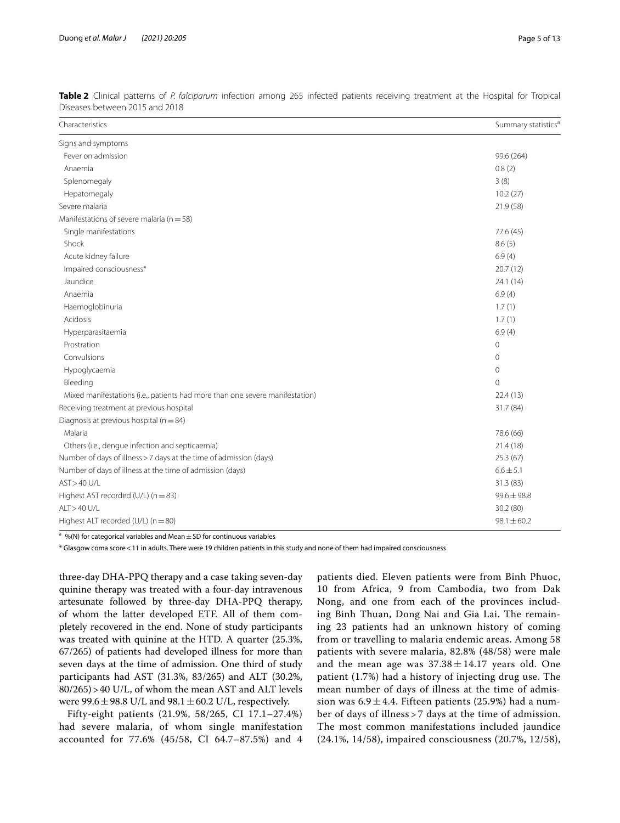| Characteristics                                                              | Summary statistics <sup>a</sup> |
|------------------------------------------------------------------------------|---------------------------------|
| Signs and symptoms                                                           |                                 |
| Fever on admission                                                           | 99.6 (264)                      |
| Anaemia                                                                      | 0.8(2)                          |
| Splenomegaly                                                                 | 3(8)                            |
| Hepatomegaly                                                                 | 10.2(27)                        |
| Severe malaria                                                               | 21.9 (58)                       |
| Manifestations of severe malaria ( $n = 58$ )                                |                                 |
| Single manifestations                                                        | 77.6 (45)                       |
| Shock                                                                        | 8.6(5)                          |
| Acute kidney failure                                                         | 6.9(4)                          |
| Impaired consciousness*                                                      | 20.7(12)                        |
| Jaundice                                                                     | 24.1(14)                        |
| Anaemia                                                                      | 6.9(4)                          |
| Haemoglobinuria                                                              | 1.7(1)                          |
| Acidosis                                                                     | 1.7(1)                          |
| Hyperparasitaemia                                                            | 6.9(4)                          |
| Prostration                                                                  | $\mathbf 0$                     |
| Convulsions                                                                  | $\mathbf{0}$                    |
| Hypoglycaemia                                                                | $\mathbf{0}$                    |
| Bleeding                                                                     | $\mathbf{0}$                    |
| Mixed manifestations (i.e., patients had more than one severe manifestation) | 22.4(13)                        |
| Receiving treatment at previous hospital                                     | 31.7 (84)                       |
| Diagnosis at previous hospital ( $n = 84$ )                                  |                                 |
| Malaria                                                                      | 78.6 (66)                       |
| Others (i.e., dengue infection and septicaemia)                              | 21.4(18)                        |
| Number of days of illness > 7 days at the time of admission (days)           | 25.3(67)                        |
| Number of days of illness at the time of admission (days)                    | $6.6 \pm 5.1$                   |
| AST > 40 U/L                                                                 | 31.3 (83)                       |
| Highest AST recorded (U/L) $(n = 83)$                                        | $99.6 \pm 98.8$                 |
| $AIT > 40$ U/I                                                               | 302(80)                         |

<span id="page-4-0"></span>

|  |                                | Table 2 Clinical patterns of P. falciparum infection among 265 infected patients receiving treatment at the Hospital for Tropical |  |  |  |  |  |  |
|--|--------------------------------|-----------------------------------------------------------------------------------------------------------------------------------|--|--|--|--|--|--|
|  | Diseases between 2015 and 2018 |                                                                                                                                   |  |  |  |  |  |  |

<sup>a</sup> %(N) for categorical variables and Mean  $\pm$  SD for continuous variables

\* Glasgow coma score<11 in adults. There were 19 children patients in this study and none of them had impaired consciousness

ALT > 40 U/L 30.2 (80) Highest ALT recorded (U/L) (n = 80)  $98.1 \pm 60.2$ 

three-day DHA-PPQ therapy and a case taking seven-day quinine therapy was treated with a four-day intravenous artesunate followed by three-day DHA-PPQ therapy, of whom the latter developed ETF. All of them completely recovered in the end. None of study participants was treated with quinine at the HTD. A quarter (25.3%, 67/265) of patients had developed illness for more than seven days at the time of admission. One third of study participants had AST (31.3%, 83/265) and ALT (30.2%, 80/265)>40 U/L, of whom the mean AST and ALT levels were 99.6  $\pm$  98.8 U/L and 98.1  $\pm$  60.2 U/L, respectively.

Fifty-eight patients (21.9%, 58/265, CI 17.1–27.4%) had severe malaria, of whom single manifestation accounted for 77.6% (45/58, CI 64.7–87.5%) and 4 patients died. Eleven patients were from Binh Phuoc, 10 from Africa, 9 from Cambodia, two from Dak Nong, and one from each of the provinces including Binh Thuan, Dong Nai and Gia Lai. The remaining 23 patients had an unknown history of coming from or travelling to malaria endemic areas. Among 58 patients with severe malaria, 82.8% (48/58) were male and the mean age was  $37.38 \pm 14.17$  years old. One patient (1.7%) had a history of injecting drug use. The mean number of days of illness at the time of admission was  $6.9 \pm 4.4$ . Fifteen patients (25.9%) had a number of days of illness > 7 days at the time of admission. The most common manifestations included jaundice (24.1%, 14/58), impaired consciousness (20.7%, 12/58),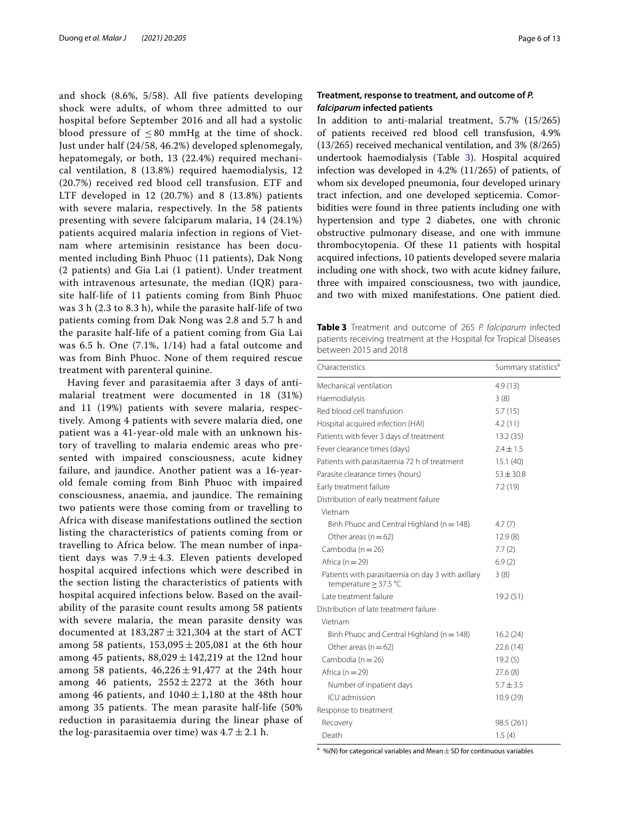and shock (8.6%, 5/58). All five patients developing shock were adults, of whom three admitted to our hospital before September 2016 and all had a systolic blood pressure of  $\leq 80$  mmHg at the time of shock. Just under half (24/58, 46.2%) developed splenomegaly, hepatomegaly, or both, 13 (22.4%) required mechanical ventilation, 8 (13.8%) required haemodialysis, 12 (20.7%) received red blood cell transfusion. ETF and LTF developed in 12 (20.7%) and 8 (13.8%) patients with severe malaria, respectively. In the 58 patients presenting with severe falciparum malaria, 14 (24.1%) patients acquired malaria infection in regions of Vietnam where artemisinin resistance has been documented including Binh Phuoc (11 patients), Dak Nong (2 patients) and Gia Lai (1 patient). Under treatment with intravenous artesunate, the median (IQR) parasite half-life of 11 patients coming from Binh Phuoc was 3 h (2.3 to 8.3 h), while the parasite half-life of two patients coming from Dak Nong was 2.8 and 5.7 h and the parasite half-life of a patient coming from Gia Lai was 6.5 h. One (7.1%, 1/14) had a fatal outcome and was from Binh Phuoc. None of them required rescue treatment with parenteral quinine.

Having fever and parasitaemia after 3 days of antimalarial treatment were documented in 18 (31%) and 11 (19%) patients with severe malaria, respectively. Among 4 patients with severe malaria died, one patient was a 41-year-old male with an unknown history of travelling to malaria endemic areas who presented with impaired consciousness, acute kidney failure, and jaundice. Another patient was a 16-yearold female coming from Binh Phuoc with impaired consciousness, anaemia, and jaundice. The remaining two patients were those coming from or travelling to Africa with disease manifestations outlined the section listing the characteristics of patients coming from or travelling to Africa below. The mean number of inpatient days was  $7.9 \pm 4.3$ . Eleven patients developed hospital acquired infections which were described in the section listing the characteristics of patients with hospital acquired infections below. Based on the availability of the parasite count results among 58 patients with severe malaria, the mean parasite density was documented at  $183,287 \pm 321,304$  at the start of ACT among 58 patients,  $153,095 \pm 205,081$  at the 6th hour among 45 patients,  $88,029 \pm 142,219$  at the 12nd hour among 58 patients,  $46,226 \pm 91,477$  at the 24th hour among 46 patients,  $2552 \pm 2272$  at the 36th hour among 46 patients, and  $1040 \pm 1,180$  at the 48th hour among 35 patients. The mean parasite half-life (50% reduction in parasitaemia during the linear phase of the log-parasitaemia over time) was  $4.7 \pm 2.1$  h.

## **Treatment, response to treatment, and outcome of** *P. falciparum* **infected patients**

In addition to anti-malarial treatment, 5.7% (15/265) of patients received red blood cell transfusion, 4.9% (13/265) received mechanical ventilation, and 3% (8/265) undertook haemodialysis (Table [3](#page-5-0)). Hospital acquired infection was developed in 4.2% (11/265) of patients, of whom six developed pneumonia, four developed urinary tract infection, and one developed septicemia. Comorbidities were found in three patients including one with hypertension and type 2 diabetes, one with chronic obstructive pulmonary disease, and one with immune thrombocytopenia. Of these 11 patients with hospital acquired infections, 10 patients developed severe malaria including one with shock, two with acute kidney failure, three with impaired consciousness, two with jaundice, and two with mixed manifestations. One patient died.

<span id="page-5-0"></span>**Table 3** Treatment and outcome of 265 *P. falciparum* infected patients receiving treatment at the Hospital for Tropical Diseases between 2015 and 2018

| Characteristics                                                            | Summary statistics <sup>a</sup> |  |  |  |  |
|----------------------------------------------------------------------------|---------------------------------|--|--|--|--|
| Mechanical ventilation                                                     | 4.9(13)                         |  |  |  |  |
| Haemodialysis                                                              | 3(8)                            |  |  |  |  |
| Red blood cell transfusion                                                 | 5.7(15)                         |  |  |  |  |
| Hospital acquired infection (HAI)                                          | 4.2(11)                         |  |  |  |  |
| Patients with fever 3 days of treatment                                    | 13.2(35)                        |  |  |  |  |
| Fever clearance times (days)                                               | $2.4 \pm 1.5$                   |  |  |  |  |
| Patients with parasitaemia 72 h of treatment                               | 15.1(40)                        |  |  |  |  |
| Parasite clearance times (hours)                                           | $53 \pm 30.8$                   |  |  |  |  |
| Early treatment failure                                                    | 7.2(19)                         |  |  |  |  |
| Distribution of early treatment failure                                    |                                 |  |  |  |  |
| Vietnam                                                                    |                                 |  |  |  |  |
| Binh Phuoc and Central Highland ( $n = 148$ )                              | 4.7(7)                          |  |  |  |  |
| Other areas ( $n = 62$ )                                                   | 12.9(8)                         |  |  |  |  |
| Cambodia ( $n = 26$ )                                                      | 7.7(2)                          |  |  |  |  |
| Africa $(n=29)$                                                            | 6.9(2)                          |  |  |  |  |
| Patients with parasitaemia on day 3 with axillary<br>temperature ≥ 37.5 °C | 3(8)                            |  |  |  |  |
| Late treatment failure                                                     | 19.2 (51)                       |  |  |  |  |
| Distribution of late treatment failure                                     |                                 |  |  |  |  |
| Vietnam                                                                    |                                 |  |  |  |  |
| Binh Phuoc and Central Highland ( $n = 148$ )                              | 16.2(24)                        |  |  |  |  |
| Other areas ( $n = 62$ )                                                   | 22.6(14)                        |  |  |  |  |
| Cambodia ( $n = 26$ )                                                      | 19.2(5)                         |  |  |  |  |
| Africa $(n=29)$                                                            | 27.6(8)                         |  |  |  |  |
| Number of inpatient days                                                   | $5.7 \pm 3.5$                   |  |  |  |  |
| ICU admission                                                              | 10.9(29)                        |  |  |  |  |
| Response to treatment                                                      |                                 |  |  |  |  |
| Recovery                                                                   | 98.5 (261)                      |  |  |  |  |
| Death                                                                      | 1.5(4)                          |  |  |  |  |

<sup>a</sup> %(N) for categorical variables and Mean  $\pm$  SD for continuous variables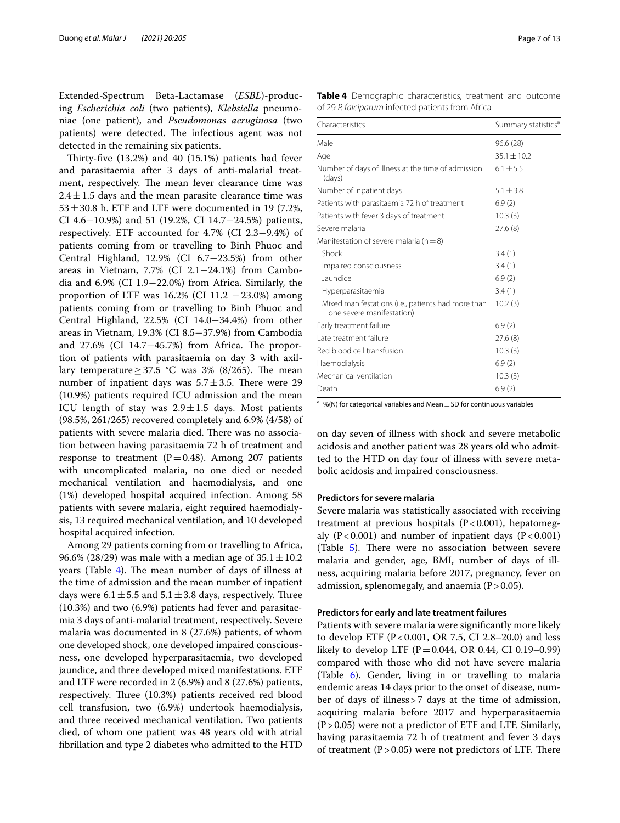Extended-Spectrum Beta-Lactamase (*ESBL*)-producing *Escherichia coli* (two patients), *Klebsiella* pneumoniae (one patient), and *Pseudomonas aeruginosa* (two patients) were detected. The infectious agent was not detected in the remaining six patients.

Thirty-five  $(13.2%)$  and  $40$   $(15.1%)$  patients had fever and parasitaemia after 3 days of anti-malarial treatment, respectively. The mean fever clearance time was  $2.4 \pm 1.5$  days and the mean parasite clearance time was  $53 \pm 30.8$  h. ETF and LTF were documented in 19 (7.2%, CI 4.6−10.9%) and 51 (19.2%, CI 14.7−24.5%) patients, respectively. ETF accounted for 4.7% (CI 2.3−9.4%) of patients coming from or travelling to Binh Phuoc and Central Highland, 12.9% (CI 6.7−23.5%) from other areas in Vietnam, 7.7% (CI 2.1−24.1%) from Cambodia and 6.9% (CI 1.9−22.0%) from Africa. Similarly, the proportion of LTF was  $16.2\%$  (CI  $11.2 - 23.0\%$ ) among patients coming from or travelling to Binh Phuoc and Central Highland, 22.5% (CI 14.0−34.4%) from other areas in Vietnam, 19.3% (CI 8.5−37.9%) from Cambodia and  $27.6\%$  (CI 14.7 $-45.7\%$ ) from Africa. The proportion of patients with parasitaemia on day 3 with axillary temperature  $\geq$  37.5 °C was 3% (8/265). The mean number of inpatient days was  $5.7 \pm 3.5$ . There were 29 (10.9%) patients required ICU admission and the mean ICU length of stay was  $2.9 \pm 1.5$  days. Most patients (98.5%, 261/265) recovered completely and 6.9% (4/58) of patients with severe malaria died. There was no association between having parasitaemia 72 h of treatment and response to treatment ( $P=0.48$ ). Among 207 patients with uncomplicated malaria, no one died or needed mechanical ventilation and haemodialysis, and one (1%) developed hospital acquired infection. Among 58 patients with severe malaria, eight required haemodialysis, 13 required mechanical ventilation, and 10 developed hospital acquired infection.

Among 29 patients coming from or travelling to Africa, 96.6% (28/29) was male with a median age of  $35.1 \pm 10.2$ years (Table  $4$ ). The mean number of days of illness at the time of admission and the mean number of inpatient days were  $6.1 \pm 5.5$  and  $5.1 \pm 3.8$  days, respectively. Three (10.3%) and two (6.9%) patients had fever and parasitaemia 3 days of anti-malarial treatment, respectively. Severe malaria was documented in 8 (27.6%) patients, of whom one developed shock, one developed impaired consciousness, one developed hyperparasitaemia, two developed jaundice, and three developed mixed manifestations. ETF and LTF were recorded in 2 (6.9%) and 8 (27.6%) patients, respectively. Three (10.3%) patients received red blood cell transfusion, two (6.9%) undertook haemodialysis, and three received mechanical ventilation. Two patients died, of whom one patient was 48 years old with atrial fbrillation and type 2 diabetes who admitted to the HTD

<span id="page-6-0"></span>**Table 4** Demographic characteristics, treatment and outcome of 29 *P. falciparum* infected patients from Africa

| Characteristics                                                                 | Summary statistics <sup>a</sup> |
|---------------------------------------------------------------------------------|---------------------------------|
| Male                                                                            | 96.6 (28)                       |
| Age                                                                             | $35.1 \pm 10.2$                 |
| Number of days of illness at the time of admission<br>(days)                    | $6.1 \pm 5.5$                   |
| Number of inpatient days                                                        | $5.1 \pm 3.8$                   |
| Patients with parasitaemia 72 h of treatment                                    | 6.9(2)                          |
| Patients with fever 3 days of treatment                                         | 10.3(3)                         |
| Severe malaria                                                                  | 27.6(8)                         |
| Manifestation of severe malaria ( $n = 8$ )                                     |                                 |
| Shock                                                                           | 3.4(1)                          |
| Impaired consciousness                                                          | 3.4(1)                          |
| Jaundice                                                                        | 6.9(2)                          |
| Hyperparasitaemia                                                               | 3.4(1)                          |
| Mixed manifestations (i.e., patients had more than<br>one severe manifestation) | 10.2(3)                         |
| Early treatment failure                                                         | 6.9(2)                          |
| Late treatment failure                                                          | 27.6(8)                         |
| Red blood cell transfusion                                                      | 10.3(3)                         |
| Haemodialysis                                                                   | 6.9(2)                          |
| Mechanical ventilation                                                          | 10.3(3)                         |
| Death                                                                           | 6.9(2)                          |

<sup>a</sup> %(N) for categorical variables and Mean  $\pm$  SD for continuous variables

on day seven of illness with shock and severe metabolic acidosis and another patient was 28 years old who admitted to the HTD on day four of illness with severe metabolic acidosis and impaired consciousness.

## **Predictors for severe malaria**

Severe malaria was statistically associated with receiving treatment at previous hospitals  $(P<0.001)$ , hepatomegaly (P<0.001) and number of inpatient days (P<0.001) (Table  $5$ ). There were no association between severe malaria and gender, age, BMI, number of days of illness, acquiring malaria before 2017, pregnancy, fever on admission, splenomegaly, and anaemia  $(P > 0.05)$ .

## **Predictors for early and late treatment failures**

Patients with severe malaria were signifcantly more likely to develop ETF ( $P < 0.001$ , OR 7.5, CI 2.8–20.0) and less likely to develop LTF (P=0.044, OR 0.44, CI 0.19-0.99) compared with those who did not have severe malaria (Table [6](#page-7-1)). Gender, living in or travelling to malaria endemic areas 14 days prior to the onset of disease, number of days of illness>7 days at the time of admission, acquiring malaria before 2017 and hyperparasitaemia  $(P > 0.05)$  were not a predictor of ETF and LTF. Similarly, having parasitaemia 72 h of treatment and fever 3 days of treatment  $(P>0.05)$  were not predictors of LTF. There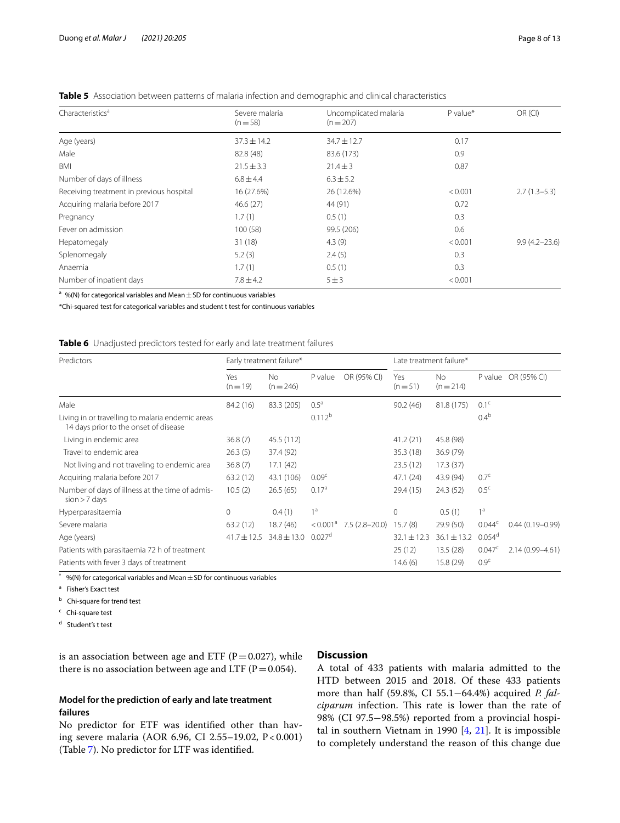| Characteristics <sup>a</sup>             | Severe malaria  | Uncomplicated malaria | $P$ value* | OR (CI)           |
|------------------------------------------|-----------------|-----------------------|------------|-------------------|
|                                          | $(n=58)$        | $(n=207)$             |            |                   |
| Age (years)                              | $37.3 \pm 14.2$ | $34.7 \pm 12.7$       | 0.17       |                   |
| Male                                     | 82.8 (48)       | 83.6 (173)            | 0.9        |                   |
| BMI                                      | $21.5 \pm 3.3$  | $21.4 \pm 3$          | 0.87       |                   |
| Number of days of illness                | $6.8 \pm 4.4$   | $6.3 \pm 5.2$         |            |                   |
| Receiving treatment in previous hospital | 16 (27.6%)      | 26 (12.6%)            | < 0.001    | $2.7(1.3-5.3)$    |
| Acquiring malaria before 2017            | 46.6(27)        | 44 (91)               | 0.72       |                   |
| Pregnancy                                | 1.7(1)          | 0.5(1)                | 0.3        |                   |
| Fever on admission                       | 100(58)         | 99.5 (206)            | 0.6        |                   |
| Hepatomegaly                             | 31(18)          | 4.3(9)                | < 0.001    | $9.9(4.2 - 23.6)$ |
| Splenomegaly                             | 5.2(3)          | 2.4(5)                | 0.3        |                   |
| Anaemia                                  | 1.7(1)          | 0.5(1)                | 0.3        |                   |
| Number of inpatient days                 | $7.8 \pm 4.2$   | 5 ± 3                 | < 0.001    |                   |

<span id="page-7-0"></span>**Table 5** Association between patterns of malaria infection and demographic and clinical characteristics

 $\frac{a}{a}$  %(N) for categorical variables and Mean  $\pm$  SD for continuous variables

\*Chi-squared test for categorical variables and student t test for continuous variables

<span id="page-7-1"></span>**Table 6** Unadjusted predictors tested for early and late treatment failures

| Predictors                                                                                | Early treatment failure* |                                 |                      | Late treatment failure* |                 |                  |                  |                     |
|-------------------------------------------------------------------------------------------|--------------------------|---------------------------------|----------------------|-------------------------|-----------------|------------------|------------------|---------------------|
|                                                                                           | Yes<br>$(n=19)$          | <b>No</b><br>$(n = 246)$        | P value              | OR (95% CI)             | Yes<br>$(n=51)$ | No.<br>$(n=214)$ |                  | P value OR (95% CI) |
| Male                                                                                      | 84.2 (16)                | 83.3 (205)                      | $0.5^{\text{a}}$     |                         | 90.2(46)        | 81.8 (175)       | 0.1 <sup>c</sup> |                     |
| Living in or travelling to malaria endemic areas<br>14 days prior to the onset of disease |                          |                                 | $0.112^{b}$          |                         |                 |                  | 0.4 <sup>b</sup> |                     |
| Living in endemic area                                                                    | 36.8(7)                  | 45.5 (112)                      |                      |                         | 41.2(21)        | 45.8 (98)        |                  |                     |
| Travel to endemic area                                                                    | 26.3(5)                  | 37.4 (92)                       |                      |                         | 35.3(18)        | 36.9 (79)        |                  |                     |
| Not living and not traveling to endemic area                                              | 36.8(7)                  | 17.1(42)                        |                      |                         | 23.5(12)        | 17.3(37)         |                  |                     |
| Acquiring malaria before 2017                                                             | 63.2(12)                 | 43.1 (106)                      | 0.09 <sup>c</sup>    |                         | 47.1(24)        | 43.9 (94)        | 0.7 <sup>c</sup> |                     |
| Number of days of illness at the time of admis-<br>$sion > 7$ days                        | 10.5(2)                  | 26.5(65)                        | 0.17 <sup>a</sup>    |                         | 29.4 (15)       | 24.3 (52)        | 0.5 <sup>c</sup> |                     |
| Hyperparasitaemia                                                                         | $\circ$                  | 0.4(1)                          | 1 <sup>a</sup>       |                         | $\mathbf{0}$    | 0.5(1)           | 1 <sup>a</sup>   |                     |
| Severe malaria                                                                            | 63.2(12)                 | 18.7(46)                        | < 0.001 <sup>a</sup> | $7.5(2.8-20.0)$         | 15.7(8)         | 29.9 (50)        | $0.044^c$        | $0.44(0.19 - 0.99)$ |
| Age (years)                                                                               |                          | $41.7 \pm 12.5$ 34.8 $\pm$ 13.0 | $0.027$ <sup>d</sup> |                         | $32.1 \pm 12.3$ | $36.1 \pm 13.2$  | $0.054^d$        |                     |
| Patients with parasitaemia 72 h of treatment                                              |                          |                                 |                      |                         | 25(12)          | 13.5(28)         | 0.047c           | $2.14(0.99 - 4.61)$ |
| Patients with fever 3 days of treatment                                                   |                          |                                 |                      |                         | 14.6(6)         | 15.8 (29)        | 0.9 <sup>c</sup> |                     |

 $*$  %(N) for categorical variables and Mean  $\pm$  SD for continuous variables

<sup>a</sup> Fisher's Exact test

**b** Chi-square for trend test

 $c$  Chi-square test

d Student's t test

is an association between age and ETF ( $P=0.027$ ), while there is no association between age and LTF ( $P=0.054$ ).

## **Model for the prediction of early and late treatment failures**

No predictor for ETF was identifed other than having severe malaria (AOR 6.96, CI 2.55-19.02, P < 0.001) (Table [7](#page-8-0)). No predictor for LTF was identifed.

## **Discussion**

A total of 433 patients with malaria admitted to the HTD between 2015 and 2018. Of these 433 patients more than half (59.8%, CI 55.1−64.4%) acquired *P. falciparum* infection. This rate is lower than the rate of 98% (CI 97.5−98.5%) reported from a provincial hospital in southern Vietnam in 1990 [[4,](#page-11-3) [21](#page-11-20)]. It is impossible to completely understand the reason of this change due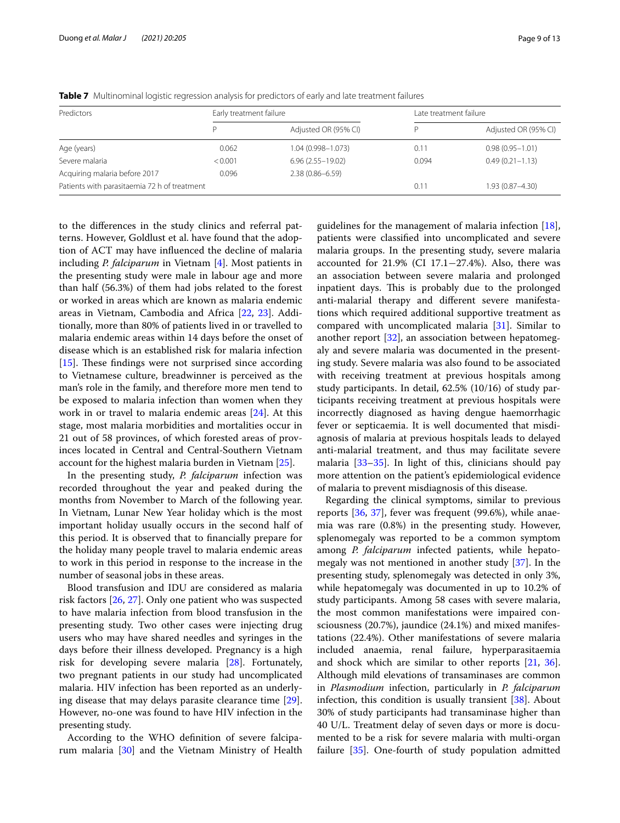| Predictors                                   | Early treatment failure |                       |       | Late treatment failure |  |  |  |
|----------------------------------------------|-------------------------|-----------------------|-------|------------------------|--|--|--|
|                                              |                         | Adjusted OR (95% CI)  |       | Adjusted OR (95% CI)   |  |  |  |
| Age (years)                                  | 0.062                   | $1.04(0.998 - 1.073)$ | 0.11  | $0.98(0.95 - 1.01)$    |  |  |  |
| Severe malaria                               | < 0.001                 | $6.96(2.55 - 19.02)$  | 0.094 | $0.49(0.21 - 1.13)$    |  |  |  |
| Acquiring malaria before 2017                | 0.096                   | $2.38(0.86 - 6.59)$   |       |                        |  |  |  |
| Patients with parasitaemia 72 h of treatment |                         |                       | 0.11  | $1.93(0.87 - 4.30)$    |  |  |  |

<span id="page-8-0"></span>**Table 7** Multinominal logistic regression analysis for predictors of early and late treatment failures

to the diferences in the study clinics and referral patterns. However, Goldlust et al. have found that the adoption of ACT may have infuenced the decline of malaria including *P. falciparum* in Vietnam [[4\]](#page-11-3). Most patients in the presenting study were male in labour age and more than half (56.3%) of them had jobs related to the forest or worked in areas which are known as malaria endemic areas in Vietnam, Cambodia and Africa [\[22,](#page-11-21) [23\]](#page-11-22). Additionally, more than 80% of patients lived in or travelled to malaria endemic areas within 14 days before the onset of disease which is an established risk for malaria infection [ $15$ ]. These findings were not surprised since according to Vietnamese culture, breadwinner is perceived as the man's role in the family, and therefore more men tend to be exposed to malaria infection than women when they work in or travel to malaria endemic areas [\[24](#page-11-23)]. At this stage, most malaria morbidities and mortalities occur in 21 out of 58 provinces, of which forested areas of provinces located in Central and Central-Southern Vietnam account for the highest malaria burden in Vietnam [\[25](#page-11-24)].

In the presenting study, *P. falciparum* infection was recorded throughout the year and peaked during the months from November to March of the following year. In Vietnam, Lunar New Year holiday which is the most important holiday usually occurs in the second half of this period. It is observed that to fnancially prepare for the holiday many people travel to malaria endemic areas to work in this period in response to the increase in the number of seasonal jobs in these areas.

Blood transfusion and IDU are considered as malaria risk factors [\[26,](#page-11-25) [27](#page-11-26)]. Only one patient who was suspected to have malaria infection from blood transfusion in the presenting study. Two other cases were injecting drug users who may have shared needles and syringes in the days before their illness developed. Pregnancy is a high risk for developing severe malaria [\[28](#page-11-27)]. Fortunately, two pregnant patients in our study had uncomplicated malaria. HIV infection has been reported as an underlying disease that may delays parasite clearance time [\[29](#page-11-28)]. However, no-one was found to have HIV infection in the presenting study.

According to the WHO defnition of severe falciparum malaria [[30\]](#page-11-29) and the Vietnam Ministry of Health

guidelines for the management of malaria infection [\[18](#page-11-17)], patients were classifed into uncomplicated and severe malaria groups. In the presenting study, severe malaria accounted for 21.9% (CI 17.1−27.4%). Also, there was an association between severe malaria and prolonged inpatient days. This is probably due to the prolonged anti-malarial therapy and diferent severe manifestations which required additional supportive treatment as compared with uncomplicated malaria [[31\]](#page-11-30). Similar to another report [[32\]](#page-11-31), an association between hepatomegaly and severe malaria was documented in the presenting study. Severe malaria was also found to be associated with receiving treatment at previous hospitals among study participants. In detail, 62.5% (10/16) of study participants receiving treatment at previous hospitals were incorrectly diagnosed as having dengue haemorrhagic fever or septicaemia. It is well documented that misdiagnosis of malaria at previous hospitals leads to delayed anti-malarial treatment, and thus may facilitate severe malaria [\[33–](#page-11-32)[35\]](#page-11-33). In light of this, clinicians should pay more attention on the patient's epidemiological evidence of malaria to prevent misdiagnosis of this disease.

Regarding the clinical symptoms, similar to previous reports [[36,](#page-11-34) [37](#page-11-35)], fever was frequent (99.6%), while anaemia was rare (0.8%) in the presenting study. However, splenomegaly was reported to be a common symptom among *P. falciparum* infected patients, while hepatomegaly was not mentioned in another study [\[37\]](#page-11-35). In the presenting study, splenomegaly was detected in only 3%, while hepatomegaly was documented in up to 10.2% of study participants. Among 58 cases with severe malaria, the most common manifestations were impaired consciousness (20.7%), jaundice (24.1%) and mixed manifestations (22.4%). Other manifestations of severe malaria included anaemia, renal failure, hyperparasitaemia and shock which are similar to other reports [[21,](#page-11-20) [36](#page-11-34)]. Although mild elevations of transaminases are common in *Plasmodium* infection, particularly in *P. falciparum* infection, this condition is usually transient [[38\]](#page-11-36). About 30% of study participants had transaminase higher than 40 U/L. Treatment delay of seven days or more is documented to be a risk for severe malaria with multi-organ failure [\[35\]](#page-11-33). One-fourth of study population admitted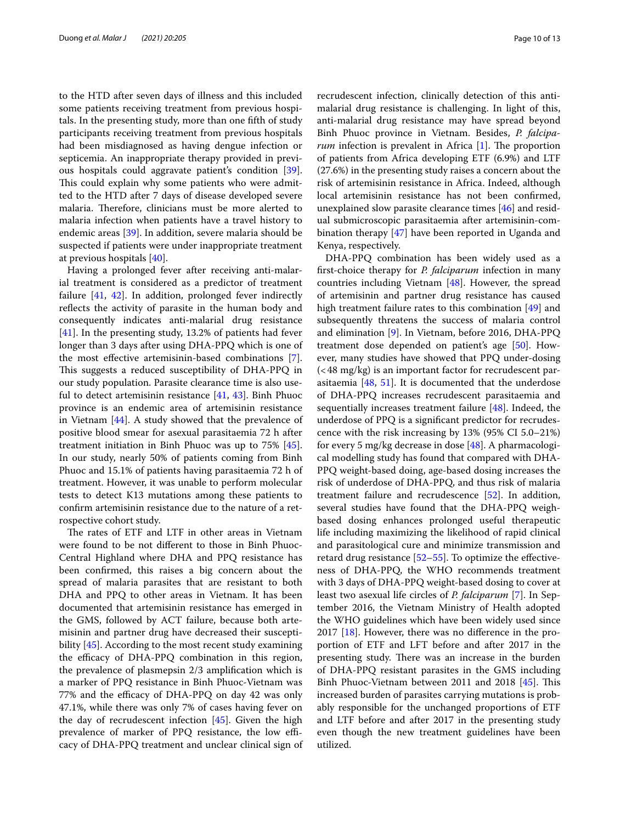to the HTD after seven days of illness and this included some patients receiving treatment from previous hospitals. In the presenting study, more than one ffth of study participants receiving treatment from previous hospitals had been misdiagnosed as having dengue infection or septicemia. An inappropriate therapy provided in previous hospitals could aggravate patient's condition [\[39](#page-11-37)]. This could explain why some patients who were admitted to the HTD after 7 days of disease developed severe malaria. Therefore, clinicians must be more alerted to malaria infection when patients have a travel history to endemic areas [\[39\]](#page-11-37). In addition, severe malaria should be suspected if patients were under inappropriate treatment at previous hospitals [\[40\]](#page-11-38).

Having a prolonged fever after receiving anti-malarial treatment is considered as a predictor of treatment failure [\[41](#page-11-39), [42\]](#page-11-40). In addition, prolonged fever indirectly reflects the activity of parasite in the human body and consequently indicates anti-malarial drug resistance [[41\]](#page-11-39). In the presenting study, 13.2% of patients had fever longer than 3 days after using DHA-PPQ which is one of the most efective artemisinin-based combinations [\[7](#page-11-6)]. This suggests a reduced susceptibility of DHA-PPQ in our study population. Parasite clearance time is also useful to detect artemisinin resistance [\[41](#page-11-39), [43](#page-11-41)]. Binh Phuoc province is an endemic area of artemisinin resistance in Vietnam [[44\]](#page-12-0). A study showed that the prevalence of positive blood smear for asexual parasitaemia 72 h after treatment initiation in Binh Phuoc was up to 75% [\[45](#page-12-1)]. In our study, nearly 50% of patients coming from Binh Phuoc and 15.1% of patients having parasitaemia 72 h of treatment. However, it was unable to perform molecular tests to detect K13 mutations among these patients to confrm artemisinin resistance due to the nature of a retrospective cohort study.

The rates of ETF and LTF in other areas in Vietnam were found to be not diferent to those in Binh Phuoc-Central Highland where DHA and PPQ resistance has been confrmed, this raises a big concern about the spread of malaria parasites that are resistant to both DHA and PPQ to other areas in Vietnam. It has been documented that artemisinin resistance has emerged in the GMS, followed by ACT failure, because both artemisinin and partner drug have decreased their suscepti-bility [\[45\]](#page-12-1). According to the most recent study examining the efficacy of DHA-PPQ combination in this region, the prevalence of plasmepsin 2/3 amplifcation which is a marker of PPQ resistance in Binh Phuoc-Vietnam was 77% and the efficacy of DHA-PPQ on day 42 was only 47.1%, while there was only 7% of cases having fever on the day of recrudescent infection [[45](#page-12-1)]. Given the high prevalence of marker of PPQ resistance, the low efficacy of DHA-PPQ treatment and unclear clinical sign of recrudescent infection, clinically detection of this antimalarial drug resistance is challenging. In light of this, anti-malarial drug resistance may have spread beyond Binh Phuoc province in Vietnam. Besides, *P. falciparum* infection is prevalent in Africa [[1\]](#page-11-0). The proportion of patients from Africa developing ETF (6.9%) and LTF (27.6%) in the presenting study raises a concern about the risk of artemisinin resistance in Africa. Indeed, although local artemisinin resistance has not been confrmed, unexplained slow parasite clearance times [[46\]](#page-12-2) and residual submicroscopic parasitaemia after artemisinin-combination therapy [[47\]](#page-12-3) have been reported in Uganda and Kenya, respectively.

DHA-PPQ combination has been widely used as a frst-choice therapy for *P. falciparum* infection in many countries including Vietnam [\[48\]](#page-12-4). However, the spread of artemisinin and partner drug resistance has caused high treatment failure rates to this combination [\[49](#page-12-5)] and subsequently threatens the success of malaria control and elimination [[9\]](#page-11-8). In Vietnam, before 2016, DHA-PPQ treatment dose depended on patient's age [\[50\]](#page-12-6). However, many studies have showed that PPQ under-dosing (<48 mg/kg) is an important factor for recrudescent parasitaemia  $[48, 51]$  $[48, 51]$  $[48, 51]$  $[48, 51]$ . It is documented that the underdose of DHA-PPQ increases recrudescent parasitaemia and sequentially increases treatment failure [\[48](#page-12-4)]. Indeed, the underdose of PPQ is a signifcant predictor for recrudescence with the risk increasing by 13% (95% CI 5.0–21%) for every 5 mg/kg decrease in dose [[48\]](#page-12-4). A pharmacological modelling study has found that compared with DHA-PPQ weight-based doing, age-based dosing increases the risk of underdose of DHA-PPQ, and thus risk of malaria treatment failure and recrudescence [\[52](#page-12-8)]. In addition, several studies have found that the DHA-PPQ weighbased dosing enhances prolonged useful therapeutic life including maximizing the likelihood of rapid clinical and parasitological cure and minimize transmission and retard drug resistance  $[52-55]$  $[52-55]$ . To optimize the effectiveness of DHA-PPQ, the WHO recommends treatment with 3 days of DHA-PPQ weight-based dosing to cover at least two asexual life circles of *P. falciparum* [[7\]](#page-11-6). In September 2016, the Vietnam Ministry of Health adopted the WHO guidelines which have been widely used since 2017  $[18]$ . However, there was no difference in the proportion of ETF and LFT before and after 2017 in the presenting study. There was an increase in the burden of DHA-PPQ resistant parasites in the GMS including Binh Phuoc-Vietnam between 2011 and 2018 [\[45](#page-12-1)]. This increased burden of parasites carrying mutations is probably responsible for the unchanged proportions of ETF and LTF before and after 2017 in the presenting study even though the new treatment guidelines have been utilized.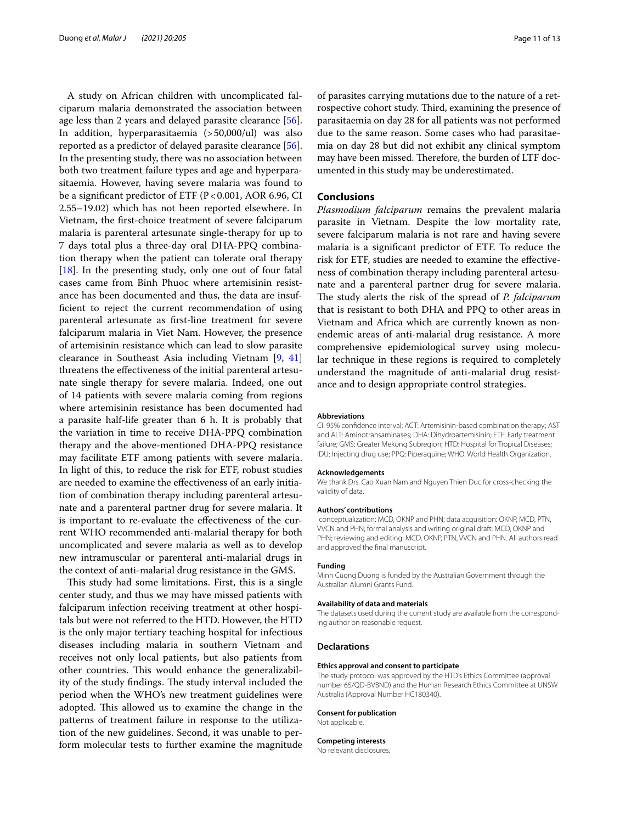A study on African children with uncomplicated falciparum malaria demonstrated the association between age less than 2 years and delayed parasite clearance [\[56](#page-12-10)]. In addition, hyperparasitaemia (>50,000/ul) was also reported as a predictor of delayed parasite clearance [\[56](#page-12-10)]. In the presenting study, there was no association between both two treatment failure types and age and hyperparasitaemia. However, having severe malaria was found to be a significant predictor of ETF ( $P < 0.001$ , AOR 6.96, CI 2.55–19.02) which has not been reported elsewhere. In Vietnam, the frst-choice treatment of severe falciparum malaria is parenteral artesunate single-therapy for up to 7 days total plus a three-day oral DHA-PPQ combination therapy when the patient can tolerate oral therapy [[18\]](#page-11-17). In the presenting study, only one out of four fatal cases came from Binh Phuoc where artemisinin resistance has been documented and thus, the data are insuffcient to reject the current recommendation of using parenteral artesunate as frst-line treatment for severe falciparum malaria in Viet Nam. However, the presence of artemisinin resistance which can lead to slow parasite clearance in Southeast Asia including Vietnam [[9,](#page-11-8) [41](#page-11-39)] threatens the efectiveness of the initial parenteral artesunate single therapy for severe malaria. Indeed, one out of 14 patients with severe malaria coming from regions where artemisinin resistance has been documented had a parasite half-life greater than 6 h. It is probably that the variation in time to receive DHA-PPQ combination therapy and the above-mentioned DHA-PPQ resistance may facilitate ETF among patients with severe malaria. In light of this, to reduce the risk for ETF, robust studies are needed to examine the efectiveness of an early initiation of combination therapy including parenteral artesunate and a parenteral partner drug for severe malaria. It is important to re-evaluate the efectiveness of the current WHO recommended anti-malarial therapy for both uncomplicated and severe malaria as well as to develop new intramuscular or parenteral anti-malarial drugs in the context of anti-malarial drug resistance in the GMS.

This study had some limitations. First, this is a single center study, and thus we may have missed patients with falciparum infection receiving treatment at other hospitals but were not referred to the HTD. However, the HTD is the only major tertiary teaching hospital for infectious diseases including malaria in southern Vietnam and receives not only local patients, but also patients from other countries. This would enhance the generalizability of the study findings. The study interval included the period when the WHO's new treatment guidelines were adopted. This allowed us to examine the change in the patterns of treatment failure in response to the utilization of the new guidelines. Second, it was unable to perform molecular tests to further examine the magnitude of parasites carrying mutations due to the nature of a retrospective cohort study. Third, examining the presence of parasitaemia on day 28 for all patients was not performed due to the same reason. Some cases who had parasitaemia on day 28 but did not exhibit any clinical symptom may have been missed. Therefore, the burden of LTF documented in this study may be underestimated.

## **Conclusions**

*Plasmodium falciparum* remains the prevalent malaria parasite in Vietnam. Despite the low mortality rate, severe falciparum malaria is not rare and having severe malaria is a signifcant predictor of ETF. To reduce the risk for ETF, studies are needed to examine the efectiveness of combination therapy including parenteral artesunate and a parenteral partner drug for severe malaria. The study alerts the risk of the spread of *P. falciparum* that is resistant to both DHA and PPQ to other areas in Vietnam and Africa which are currently known as nonendemic areas of anti-malarial drug resistance. A more comprehensive epidemiological survey using molecular technique in these regions is required to completely understand the magnitude of anti-malarial drug resistance and to design appropriate control strategies.

#### **Abbreviations**

CI: 95% confdence interval; ACT: Artemisinin-based combination therapy; AST and ALT: Aminotransaminases; DHA: Dihydroartemisinin; ETF: Early treatment failure; GMS: Greater Mekong Subregion; HTD: Hospital for Tropical Diseases; IDU: Injecting drug use; PPQ: Piperaquine; WHO: World Health Organization.

#### **Acknowledgements**

We thank Drs. Cao Xuan Nam and Nguyen Thien Duc for cross-checking the validity of data.

#### **Authors' contributions**

 conceptualization: MCD, OKNP and PHN; data acquisition: OKNP, MCD, PTN, VVCN and PHN; formal analysis and writing original draft: MCD, OKNP and PHN; reviewing and editing: MCD, OKNP, PTN, VVCN and PHN. All authors read and approved the fnal manuscript.

#### **Funding**

Minh Cuong Duong is funded by the Australian Government through the Australian Alumni Grants Fund.

#### **Availability of data and materials**

The datasets used during the current study are available from the corresponding author on reasonable request.

#### **Declarations**

#### **Ethics approval and consent to participate**

The study protocol was approved by the HTD's Ethics Committee (approval number 65/QD-BVBND) and the Human Research Ethics Committee at UNSW Australia (Approval Number HC180340).

#### **Consent for publication**

Not applicable.

#### **Competing interests**

No relevant disclosures.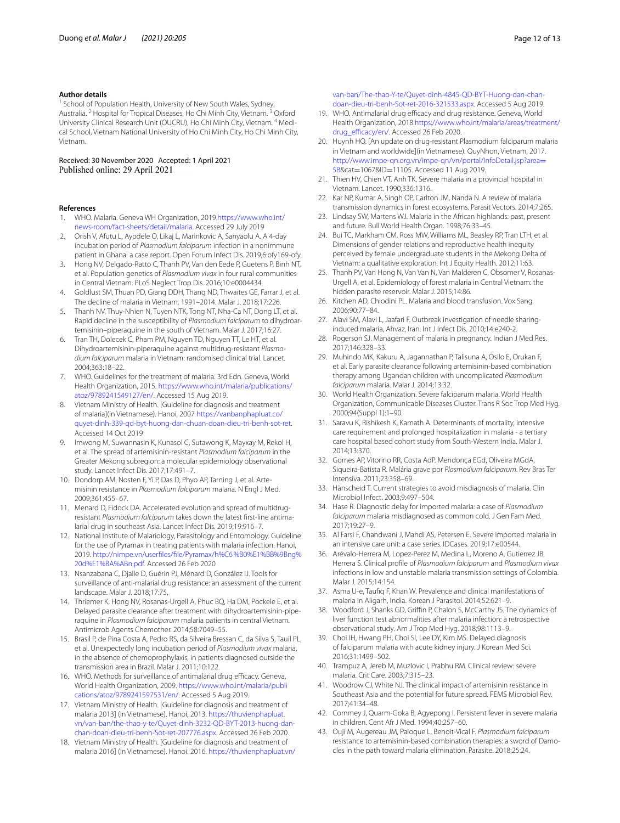#### **Author details**

School of Population Health, University of New South Wales, Sydney, Australia. <sup>2</sup> Hospital for Tropical Diseases, Ho Chi Minh City, Vietnam. <sup>3</sup> Oxford University Clinical Research Unit (OUCRU), Ho Chi Minh City, Vietnam. <sup>4</sup> Medical School, Vietnam National University of Ho Chi Minh City, Ho Chi Minh City, Vietnam.

Received: 30 November 2020 Accepted: 1 April 2021

## **References**

- <span id="page-11-0"></span>1. WHO. Malaria. Geneva WH Organization, 2019[.https://www.who.int/](https://www.who.int/news-room/fact-sheets/detail/malaria) [news-room/fact-sheets/detail/malaria.](https://www.who.int/news-room/fact-sheets/detail/malaria) Accessed 29 July 2019
- <span id="page-11-1"></span>2. Orish V, Afutu L, Ayodele O, Likaj L, Marinkovic A, Sanyaolu A. A 4-day incubation period of *Plasmodium falciparum* infection in a nonimmune patient in Ghana: a case report. Open Forum Infect Dis. 2019;6:ofy169-ofy.
- <span id="page-11-2"></span>3. Hong NV, Delgado-Ratto C, Thanh PV, Van den Eede P, Guetens P, Binh NT, et al. Population genetics of *Plasmodium vivax* in four rural communities in Central Vietnam. PLoS Neglect Trop Dis. 2016;10:e0004434.
- <span id="page-11-3"></span>4. Goldlust SM, Thuan PD, Giang DDH, Thang ND, Thwaites GE, Farrar J, et al. The decline of malaria in Vietnam, 1991–2014. Malar J. 2018;17:226.
- <span id="page-11-4"></span>5. Thanh NV, Thuy-Nhien N, Tuyen NTK, Tong NT, Nha-Ca NT, Dong LT, et al. Rapid decline in the susceptibility of *Plasmodium falciparum* to dihydroartemisinin–piperaquine in the south of Vietnam. Malar J. 2017;16:27.
- <span id="page-11-5"></span>6. Tran TH, Dolecek C, Pham PM, Nguyen TD, Nguyen TT, Le HT, et al. Dihydroartemisinin-piperaquine against multidrug-resistant *Plasmodium falciparum* malaria in Vietnam: randomised clinical trial. Lancet. 2004;363:18–22.
- <span id="page-11-6"></span>7. WHO. Guidelines for the treatment of malaria. 3rd Edn. Geneva, World Health Organization, 2015. [https://www.who.int/malaria/publications/](https://www.who.int/malaria/publications/atoz/9789241549127/en/) [atoz/9789241549127/en/](https://www.who.int/malaria/publications/atoz/9789241549127/en/). Accessed 15 Aug 2019.
- <span id="page-11-7"></span>8. Vietnam Ministry of Health. [Guideline for diagnosis and treatment of malaria](in Vietnamese). Hanoi, 2007 [https://vanbanphapluat.co/](https://vanbanphapluat.co/quyet-dinh-339-qd-byt-huong-dan-chuan-doan-dieu-tri-benh-sot-ret) [quyet-dinh-339-qd-byt-huong-dan-chuan-doan-dieu-tri-benh-sot-ret.](https://vanbanphapluat.co/quyet-dinh-339-qd-byt-huong-dan-chuan-doan-dieu-tri-benh-sot-ret) Accessed 14 Oct 2019
- <span id="page-11-8"></span>9. Imwong M, Suwannasin K, Kunasol C, Sutawong K, Mayxay M, Rekol H, et al. The spread of artemisinin-resistant *Plasmodium falciparum* in the Greater Mekong subregion: a molecular epidemiology observational study. Lancet Infect Dis. 2017;17:491–7.
- <span id="page-11-9"></span>10. Dondorp AM, Nosten F, Yi P, Das D, Phyo AP, Tarning J, et al. Artemisinin resistance in *Plasmodium falciparum* malaria. N Engl J Med. 2009;361:455–67.
- <span id="page-11-10"></span>11. Menard D, Fidock DA. Accelerated evolution and spread of multidrugresistant *Plasmodium falciparum* takes down the latest frst-line antimalarial drug in southeast Asia. Lancet Infect Dis. 2019;19:916–7.
- <span id="page-11-11"></span>12. National Institute of Malariology, Parasitology and Entomology. Guideline for the use of Pyramax in treating patients with malaria infection. Hanoi, 2019. [http://nimpe.vn/userfiles/fle/Pyramax/h%C6%B0%E1%BB%9Bng%](http://nimpe.vn/userfiles/file/Pyramax/h%C6%B0%E1%BB%9Bng%20d%E1%BA%ABn.pdf) [20d%E1%BA%ABn.pdf](http://nimpe.vn/userfiles/file/Pyramax/h%C6%B0%E1%BB%9Bng%20d%E1%BA%ABn.pdf). Accessed 26 Feb 2020
- <span id="page-11-12"></span>13. Nsanzabana C, Djalle D, Guérin PJ, Ménard D, González IJ. Tools for surveillance of anti-malarial drug resistance: an assessment of the current landscape. Malar J. 2018;17:75.
- <span id="page-11-13"></span>14. Thriemer K, Hong NV, Rosanas-Urgell A, Phuc BQ, Ha DM, Pockele E, et al. Delayed parasite clearance after treatment with dihydroartemisinin-piperaquine in *Plasmodium falciparum* malaria patients in central Vietnam. Antimicrob Agents Chemother. 2014;58:7049–55.
- <span id="page-11-14"></span>15. Brasil P, de Pina Costa A, Pedro RS, da Silveira Bressan C, da Silva S, Tauil PL, et al. Unexpectedly long incubation period of *Plasmodium vivax* malaria, in the absence of chemoprophylaxis, in patients diagnosed outside the transmission area in Brazil. Malar J. 2011;10:122.
- <span id="page-11-15"></span>16. WHO. Methods for surveillance of antimalarial drug efficacy. Geneva, World Health Organization, 2009. [https://www.who.int/malaria/publi](https://www.who.int/malaria/publications/atoz/9789241597531/en/) [cations/atoz/9789241597531/en/.](https://www.who.int/malaria/publications/atoz/9789241597531/en/) Accessed 5 Aug 2019.
- <span id="page-11-16"></span>17. Vietnam Ministry of Health. [Guideline for diagnosis and treatment of malaria 2013] (in Vietnamese). Hanoi, 2013. [https://thuvienphapluat.](https://thuvienphapluat.vn/van-ban/the-thao-y-te/Quyet-dinh-3232-QD-BYT-2013-huong-dan-chan-doan-dieu-tri-benh-Sot-ret-207776.aspx) [vn/van-ban/the-thao-y-te/Quyet-dinh-3232-QD-BYT-2013-huong-dan](https://thuvienphapluat.vn/van-ban/the-thao-y-te/Quyet-dinh-3232-QD-BYT-2013-huong-dan-chan-doan-dieu-tri-benh-Sot-ret-207776.aspx)[chan-doan-dieu-tri-benh-Sot-ret-207776.aspx.](https://thuvienphapluat.vn/van-ban/the-thao-y-te/Quyet-dinh-3232-QD-BYT-2013-huong-dan-chan-doan-dieu-tri-benh-Sot-ret-207776.aspx) Accessed 26 Feb 2020.
- <span id="page-11-17"></span>18. Vietnam Ministry of Health. [Guideline for diagnosis and treatment of malaria 2016] (in Vietnamese). Hanoi. 2016. [https://thuvienphapluat.vn/](https://thuvienphapluat.vn/van-ban/The-thao-Y-te/Quyet-dinh-4845-QD-BYT-Huong-dan-chan-doan-dieu-tri-benh-Sot-ret-2016-321533.aspx)

[van-ban/The-thao-Y-te/Quyet-dinh-4845-QD-BYT-Huong-dan-chan](https://thuvienphapluat.vn/van-ban/The-thao-Y-te/Quyet-dinh-4845-QD-BYT-Huong-dan-chan-doan-dieu-tri-benh-Sot-ret-2016-321533.aspx)[doan-dieu-tri-benh-Sot-ret-2016-321533.aspx](https://thuvienphapluat.vn/van-ban/The-thao-Y-te/Quyet-dinh-4845-QD-BYT-Huong-dan-chan-doan-dieu-tri-benh-Sot-ret-2016-321533.aspx). Accessed 5 Aug 2019.

- <span id="page-11-18"></span>19. WHO. Antimalarial drug efficacy and drug resistance. Geneva, World Health Organization, 2018.[https://www.who.int/malaria/areas/treatment/](https://www.who.int/malaria/areas/treatment/drug_efficacy/en/) drug\_efficacy/en/. Accessed 26 Feb 2020.
- <span id="page-11-19"></span>20. Huynh HQ. [An update on drug-resistant Plasmodium falciparum malaria in Vietnam and worldwide](in Vietnamese). QuyNhon, Vietnam, 2017. [http://www.impe-qn.org.vn/impe-qn/vn/portal/InfoDetail.jsp?area](http://www.impe-qn.org.vn/impe-qn/vn/portal/InfoDetail.jsp?area=58)= [58](http://www.impe-qn.org.vn/impe-qn/vn/portal/InfoDetail.jsp?area=58)&cat=1067&ID=11105. Accessed 11 Aug 2019.
- <span id="page-11-20"></span>21. Thien HV, Chien VT, Anh TK. Severe malaria in a provincial hospital in Vietnam. Lancet. 1990;336:1316.
- <span id="page-11-21"></span>22. Kar NP, Kumar A, Singh OP, Carlton JM, Nanda N. A review of malaria transmission dynamics in forest ecosystems. Parasit Vectors. 2014;7:265.
- <span id="page-11-22"></span>23. Lindsay SW, Martens WJ. Malaria in the African highlands: past, present and future. Bull World Health Organ. 1998;76:33–45.
- <span id="page-11-23"></span>24. Bui TC, Markham CM, Ross MW, Williams ML, Beasley RP, Tran LTH, et al. Dimensions of gender relations and reproductive health inequity perceived by female undergraduate students in the Mekong Delta of Vietnam: a qualitative exploration. Int J Equity Health. 2012;11:63.
- <span id="page-11-24"></span>25. Thanh PV, Van Hong N, Van Van N, Van Malderen C, Obsomer V, Rosanas-Urgell A, et al. Epidemiology of forest malaria in Central Vietnam: the hidden parasite reservoir. Malar J. 2015;14:86.
- <span id="page-11-25"></span>26. Kitchen AD, Chiodini PL. Malaria and blood transfusion. Vox Sang. 2006;90:77–84.
- <span id="page-11-26"></span>27. Alavi SM, Alavi L, Jaafari F. Outbreak investigation of needle sharinginduced malaria, Ahvaz, Iran. Int J Infect Dis. 2010;14:e240-2.
- <span id="page-11-27"></span>28. Rogerson SJ. Management of malaria in pregnancy. Indian J Med Res. 2017;146:328–33.
- <span id="page-11-28"></span>29. Muhindo MK, Kakuru A, Jagannathan P, Talisuna A, Osilo E, Orukan F, et al. Early parasite clearance following artemisinin-based combination therapy among Ugandan children with uncomplicated *Plasmodium falciparum* malaria. Malar J. 2014;13:32.
- <span id="page-11-29"></span>30. World Health Organization. Severe falciparum malaria. World Health Organization, Communicable Diseases Cluster. Trans R Soc Trop Med Hyg. 2000;94(Suppl 1):1–90.
- <span id="page-11-30"></span>31. Saravu K, Rishikesh K, Kamath A. Determinants of mortality, intensive care requirement and prolonged hospitalization in malaria - a tertiary care hospital based cohort study from South-Western India. Malar J. 2014;13:370.
- <span id="page-11-31"></span>32. Gomes AP, Vitorino RR, Costa AdP. Mendonça EGd, Oliveira MGdA, Siqueira-Batista R. Malária grave por *Plasmodium falciparum*. Rev Bras Ter Intensiva. 2011;23:358–69.
- <span id="page-11-32"></span>33. Hänscheid T. Current strategies to avoid misdiagnosis of malaria. Clin Microbiol Infect. 2003;9:497–504.
- 34. Hase R. Diagnostic delay for imported malaria: a case of *Plasmodium falciparum* malaria misdiagnosed as common cold. J Gen Fam Med. 2017;19:27–9.
- <span id="page-11-33"></span>35. Al Farsi F, Chandwani J, Mahdi AS, Petersen E. Severe imported malaria in an intensive care unit: a case series. IDCases. 2019;17:e00544.
- <span id="page-11-34"></span>36. Arévalo-Herrera M, Lopez-Perez M, Medina L, Moreno A, Gutierrez JB, Herrera S. Clinical profle of *Plasmodium falciparum* and *Plasmodium vivax* infections in low and unstable malaria transmission settings of Colombia. Malar J. 2015;14:154.
- <span id="page-11-35"></span>37. Asma U-e, Taufq F, Khan W. Prevalence and clinical manifestations of malaria in Aligarh, India. Korean J Parasitol. 2014;52:621–9.
- <span id="page-11-36"></span>38. Woodford J, Shanks GD, Griffin P, Chalon S, McCarthy JS. The dynamics of liver function test abnormalities after malaria infection: a retrospective observational study. Am J Trop Med Hyg. 2018;98:1113–9.
- <span id="page-11-37"></span>39. Choi IH, Hwang PH, Choi SI, Lee DY, Kim MS. Delayed diagnosis of falciparum malaria with acute kidney injury. J Korean Med Sci. 2016;31:1499–502.
- <span id="page-11-38"></span>40. Trampuz A, Jereb M, Muzlovic I, Prabhu RM. Clinical review: severe malaria. Crit Care. 2003;7:315–23.
- <span id="page-11-39"></span>41. Woodrow CJ, White NJ. The clinical impact of artemisinin resistance in Southeast Asia and the potential for future spread. FEMS Microbiol Rev. 2017;41:34–48.
- <span id="page-11-40"></span>42. Commey J, Quarm-Goka B, Agyepong I. Persistent fever in severe malaria in children. Cent Afr J Med. 1994;40:257–60.
- <span id="page-11-41"></span>43. Ouji M, Augereau JM, Paloque L, Benoit-Vical F. *Plasmodium falciparum* resistance to artemisinin-based combination therapies: a sword of Damocles in the path toward malaria elimination. Parasite. 2018;25:24.